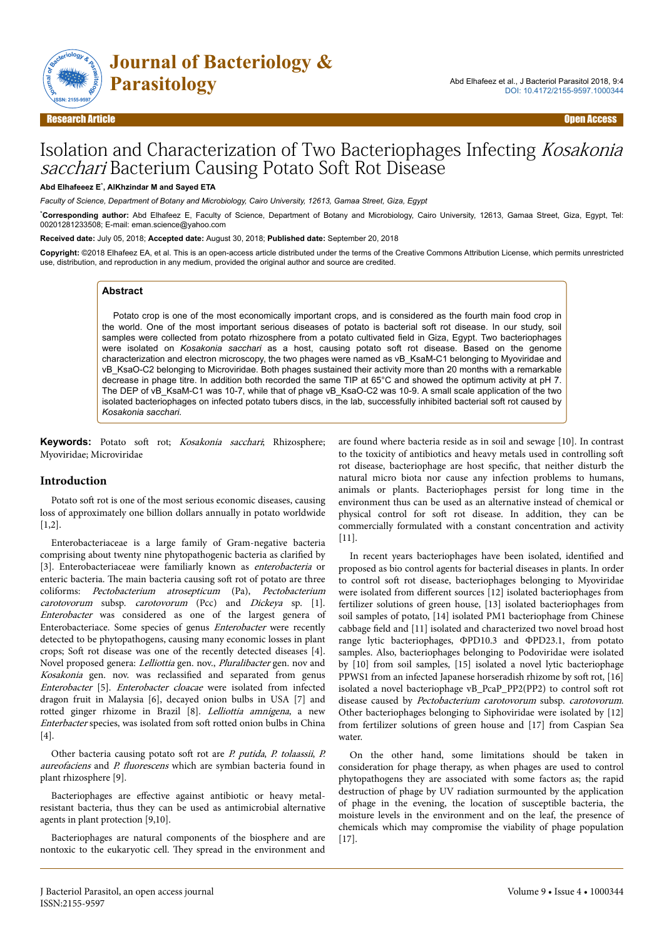

# Isolation and Characterization of Two Bacteriophages Infecting Kosakonia sacchari Bacterium Causing Potato Soft Rot Disease

#### **Abd Elhafeeez E**\* **, AlKhzindar M and Sayed ETA**

*Faculty of Science, Department of Botany and Microbiology, Cairo University, 12613, Gamaa Street, Giza, Egypt*

\***Corresponding author:** Abd Elhafeez E, Faculty of Science, Department of Botany and Microbiology, Cairo University, 12613, Gamaa Street, Giza, Egypt, Tel: 00201281233508; E-mail: eman.science@yahoo.com

**Received date:** July 05, 2018; **Accepted date:** August 30, 2018; **Published date:** September 20, 2018

**Copyright:** ©2018 Elhafeez EA, et al. This is an open-access article distributed under the terms of the Creative Commons Attribution License, which permits unrestricted use, distribution, and reproduction in any medium, provided the original author and source are credited.

#### **Abstract**

Potato crop is one of the most economically important crops, and is considered as the fourth main food crop in the world. One of the most important serious diseases of potato is bacterial soft rot disease. In our study, soil samples were collected from potato rhizosphere from a potato cultivated field in Giza, Egypt. Two bacteriophages were isolated on *Kosakonia sacchari* as a host, causing potato soft rot disease. Based on the genome characterization and electron microscopy, the two phages were named as vB\_KsaM-C1 belonging to Myoviridae and vB\_KsaO-C2 belonging to Microviridae. Both phages sustained their activity more than 20 months with a remarkable decrease in phage titre. In addition both recorded the same TIP at 65°C and showed the optimum activity at pH 7. The DEP of vB\_KsaM-C1 was 10-7, while that of phage vB\_KsaO-C2 was 10-9. A small scale application of the two isolated bacteriophages on infected potato tubers discs, in the lab, successfully inhibited bacterial soft rot caused by *Kosakonia sacchari.*

Keywords: Potato soft rot; Kosakonia sacchari; Rhizosphere; Myoviridae; Microviridae

#### **Introduction**

Potato soft rot is one of the most serious economic diseases, causing loss of approximately one billion dollars annually in potato worldwide [1,2].

Enterobacteriaceae is a large family of Gram-negative bacteria comprising about twenty nine phytopathogenic bacteria as clarified by [3]. Enterobacteriaceae were familiarly known as enterobacteria or enteric bacteria. The main bacteria causing soft rot of potato are three coliforms: Pectobacterium atrosepticum (Pa), Pectobacterium carotovorum subsp. carotovorum (Pcc) and Dickeya sp. [1]. Enterobacter was considered as one of the largest genera of Enterobacteriace. Some species of genus Enterobacter were recently detected to be phytopathogens, causing many economic losses in plant crops; Soft rot disease was one of the recently detected diseases [4]. Novel proposed genera: Lelliottia gen. nov., Pluralibacter gen. nov and Kosakonia gen. nov. was reclassified and separated from genus Enterobacter [5]. Enterobacter cloacae were isolated from infected dragon fruit in Malaysia [6], decayed onion bulbs in USA [7] and rotted ginger rhizome in Brazil [8]. Lelliottia amnigena, a new Enterbacter species, was isolated from soft rotted onion bulbs in China [4].

Other bacteria causing potato soft rot are P. putida, P. tolaassii, P. aureofaciens and P. fluorescens which are symbian bacteria found in plant rhizosphere [9].

Bacteriophages are effective against antibiotic or heavy metalresistant bacteria, thus they can be used as antimicrobial alternative agents in plant protection [9,10].

Bacteriophages are natural components of the biosphere and are nontoxic to the eukaryotic cell. Нey spread in the environment and are found where bacteria reside as in soil and sewage [10]. In contrast to the toxicity of antibiotics and heavy metals used in controlling soft rot disease, bacteriophage are host specific, that neither disturb the natural micro biota nor cause any infection problems to humans, animals or plants. Bacteriophages persist for long time in the environment thus can be used as an alternative instead of chemical or physical control for soft rot disease. In addition, they can be commercially formulated with a constant concentration and activity [11].

In recent years bacteriophages have been isolated, identified and proposed as bio control agents for bacterial diseases in plants. In order to control soft rot disease, bacteriophages belonging to Myoviridae were isolated from different sources [12] isolated bacteriophages from fertilizer solutions of green house, [13] isolated bacteriophages from soil samples of potato, [14] isolated PM1 bacteriophage from Chinese cabbage field and [11] isolated and characterized two novel broad host range lytic bacteriophages, ΦPD10.3 and ΦPD23.1, from potato samples. Also, bacteriophages belonging to Podoviridae were isolated by [10] from soil samples, [15] isolated a novel lytic bacteriophage PPWS1 from an infected Japanese horseradish rhizome by soft rot, [16] isolated a novel bacteriophage vB\_PcaP\_PP2(PP2) to control soft rot disease caused by Pectobacterium carotovorum subsp. carotovorum. Other bacteriophages belonging to Siphoviridae were isolated by [12] from fertilizer solutions of green house and [17] from Caspian Sea water.

On the other hand, some limitations should be taken in consideration for phage therapy, as when phages are used to control phytopathogens they are associated with some factors as; the rapid destruction of phage by UV radiation surmounted by the application of phage in the evening, the location of susceptible bacteria, the moisture levels in the environment and on the leaf, the presence of chemicals which may compromise the viability of phage population [17].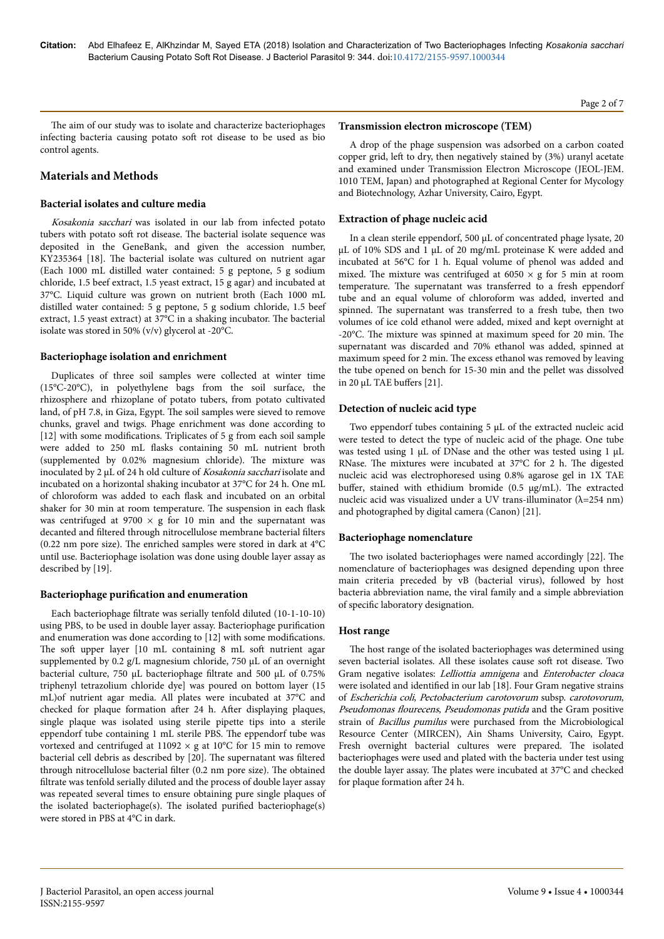The aim of our study was to isolate and characterize bacteriophages infecting bacteria causing potato soft rot disease to be used as bio control agents.

## **Materials and Methods**

## **Bacterial isolates and culture media**

Kosakonia sacchari was isolated in our lab from infected potato tubers with potato soft rot disease. The bacterial isolate sequence was deposited in the GeneBank, and given the accession number, KY235364 [18]. Нe bacterial isolate was cultured on nutrient agar (Each 1000 mL distilled water contained: 5 g peptone, 5 g sodium chloride, 1.5 beef extract, 1.5 yeast extract, 15 g agar) and incubated at 37°C. Liquid culture was grown on nutrient broth (Each 1000 mL distilled water contained: 5 g peptone, 5 g sodium chloride, 1.5 beef extract, 1.5 yeast extract) at 37°C in a shaking incubator. Нe bacterial isolate was stored in 50% (v/v) glycerol at -20°C.

## **Bacteriophage isolation and enrichment**

Duplicates of three soil samples were collected at winter time (15°C-20°C), in polyethylene bags from the soil surface, the rhizosphere and rhizoplane of potato tubers, from potato cultivated land, of pH 7.8, in Giza, Egypt. Нe soil samples were sieved to remove chunks, gravel and twigs. Phage enrichment was done according to  $[12]$  with some modifications. Triplicates of 5 g from each soil sample were added to 250 mL flasks containing 50 mL nutrient broth (supplemented by 0.02% magnesium chloride). Нe mixture was inoculated by 2 µL of 24 h old culture of Kosakonia sacchari isolate and incubated on a horizontal shaking incubator at 37°C for 24 h. One mL of chloroform was added to each flask and incubated on an orbital shaker for 30 min at room temperature. Нe suspension in each flask was centrifuged at 9700  $\times$  g for 10 min and the supernatant was decanted and filtered through nitrocellulose membrane bacterial filters (0.22 nm pore size). Нe enriched samples were stored in dark at 4°C until use. Bacteriophage isolation was done using double layer assay as described by [19].

#### **Bacteriophage purification and enumeration**

Each bacteriophage filtrate was serially tenfold diluted (10-1-10-10) using PBS, to be used in double layer assay. Bacteriophage purification and enumeration was done according to [12] with some modifications. The soft upper layer [10 mL containing 8 mL soft nutrient agar supplemented by 0.2 g/L magnesium chloride, 750 µL of an overnight bacterial culture, 750 µL bacteriophage filtrate and 500 µL of 0.75% triphenyl tetrazolium chloride dye] was poured on bottom layer (15 mL)of nutrient agar media. All plates were incubated at 37°C and checked for plaque formation after 24 h. After displaying plaques, single plaque was isolated using sterile pipette tips into a sterile eppendorf tube containing 1 mL sterile PBS. Нe eppendorf tube was vortexed and centrifuged at  $11092 \times g$  at  $10^{\circ}$ C for 15 min to remove bacterial cell debris as described by [20]. Нe supernatant was filtered through nitrocellulose bacterial filter (0.2 nm pore size). Нe obtained filtrate was tenfold serially diluted and the process of double layer assay was repeated several times to ensure obtaining pure single plaques of the isolated bacteriophage(s). The isolated purified bacteriophage(s) were stored in PBS at 4°C in dark.

A drop of the phage suspension was adsorbed on a carbon coated copper grid, left to dry, then negatively stained by (3%) uranyl acetate and examined under Transmission Electron Microscope (JEOL-JEM. 1010 TEM, Japan) and photographed at Regional Center for Mycology and Biotechnology, Azhar University, Cairo, Egypt.

## **Extraction of phage nucleic acid**

In a clean sterile eppendorf, 500 µL of concentrated phage lysate, 20 µL of 10% SDS and 1 µL of 20 mg/mL proteinase K were added and incubated at 56°C for 1 h. Equal volume of phenol was added and mixed. The mixture was centrifuged at  $6050 \times g$  for 5 min at room temperature. Нe supernatant was transferred to a fresh eppendorf tube and an equal volume of chloroform was added, inverted and spinned. Нe supernatant was transferred to a fresh tube, then two volumes of ice cold ethanol were added, mixed and kept overnight at -20°C. Нe mixture was spinned at maximum speed for 20 min. Нe supernatant was discarded and 70% ethanol was added, spinned at maximum speed for 2 min. Нe excess ethanol was removed by leaving the tube opened on bench for 15-30 min and the pellet was dissolved in 20  $\mu$ L TAE buffers [21].

## **Detection of nucleic acid type**

Two eppendorf tubes containing 5 µL of the extracted nucleic acid were tested to detect the type of nucleic acid of the phage. One tube was tested using 1 µL of DNase and the other was tested using 1 µL RNase. Нe mixtures were incubated at 37°C for 2 h. Нe digested nucleic acid was electrophoresed using 0.8% agarose gel in 1X TAE buffer, stained with ethidium bromide (0.5 μg/mL). The extracted nucleic acid was visualized under a UV trans-illuminator (λ=254 nm) and photographed by digital camera (Canon) [21].

#### **Bacteriophage nomenclature**

The two isolated bacteriophages were named accordingly [22]. The nomenclature of bacteriophages was designed depending upon three main criteria preceded by vB (bacterial virus), followed by host bacteria abbreviation name, the viral family and a simple abbreviation of specific laboratory designation.

#### **Host range**

The host range of the isolated bacteriophages was determined using seven bacterial isolates. All these isolates cause soft rot disease. Two Gram negative isolates: Lelliottia amnigena and Enterobacter cloaca were isolated and identified in our lab [18]. Four Gram negative strains of Escherichia coli, Pectobacterium carotovorum subsp. carotovorum, Pseudomonas flourecens, Pseudomonas putida and the Gram positive strain of Bacillus pumilus were purchased from the Microbiological Resource Center (MIRCEN), Ain Shams University, Cairo, Egypt. Fresh overnight bacterial cultures were prepared. The isolated bacteriophages were used and plated with the bacteria under test using the double layer assay. Нe plates were incubated at 37°C and checked for plaque formation after 24 h.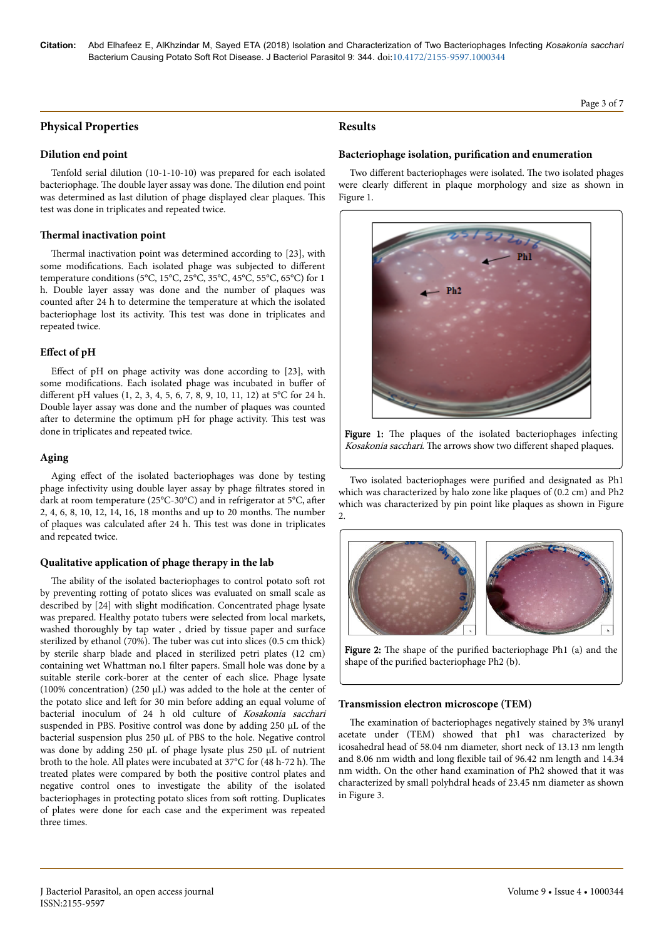# **Physical Properties**

#### **Dilution end point**

Tenfold serial dilution (10-1-10-10) was prepared for each isolated bacteriophage. Нe double layer assay was done. Нe dilution end point was determined as last dilution of phage displayed clear plaques. This test was done in triplicates and repeated twice.

#### **Thermal inactivation point**

Thermal inactivation point was determined according to [23], with some modifications. Each isolated phage was subjected to different temperature conditions (5°C, 15°C, 25°C, 35°C, 45°C, 55°C, 65°C) for 1 h. Double layer assay was done and the number of plaques was counted after 24 h to determine the temperature at which the isolated bacteriophage lost its activity. This test was done in triplicates and repeated twice.

## **Effect** of pH

Effect of pH on phage activity was done according to [23], with some modifications. Each isolated phage was incubated in buffer of different pH values (1, 2, 3, 4, 5, 6, 7, 8, 9, 10, 11, 12) at 5°C for 24 h. Double layer assay was done and the number of plaques was counted after to determine the optimum pH for phage activity. This test was done in triplicates and repeated twice.

## **Aging**

Aging effect of the isolated bacteriophages was done by testing phage infectivity using double layer assay by phage filtrates stored in dark at room temperature (25°C-30°C) and in refrigerator at 5°C, after 2, 4, 6, 8, 10, 12, 14, 16, 18 months and up to 20 months. Нe number of plaques was calculated after 24 h. This test was done in triplicates and repeated twice.

## **Qualitative application of phage therapy in the lab**

The ability of the isolated bacteriophages to control potato soft rot by preventing rotting of potato slices was evaluated on small scale as described by [24] with slight modification. Concentrated phage lysate was prepared. Healthy potato tubers were selected from local markets, washed thoroughly by tap water , dried by tissue paper and surface sterilized by ethanol (70%). Нe tuber was cut into slices (0.5 cm thick) by sterile sharp blade and placed in sterilized petri plates (12 cm) containing wet Whattman no.1 filter papers. Small hole was done by a suitable sterile cork-borer at the center of each slice. Phage lysate (100% concentration) (250 µL) was added to the hole at the center of the potato slice and left for 30 min before adding an equal volume of bacterial inoculum of 24 h old culture of Kosakonia sacchari suspended in PBS. Positive control was done by adding 250 µL of the bacterial suspension plus 250 µL of PBS to the hole. Negative control was done by adding 250 µL of phage lysate plus 250 µL of nutrient broth to the hole. All plates were incubated at 37°C for (48 h-72 h). The treated plates were compared by both the positive control plates and negative control ones to investigate the ability of the isolated bacteriophages in protecting potato slices from soft rotting. Duplicates of plates were done for each case and the experiment was repeated three times.

## **Results**

## Bacteriophage isolation, purification and enumeration

Two different bacteriophages were isolated. The two isolated phages were clearly different in plaque morphology and size as shown in Figure 1.



Figure 1: The plaques of the isolated bacteriophages infecting Kosakonia sacchari. The arrows show two different shaped plaques.

Two isolated bacteriophages were purified and designated as Ph1 which was characterized by halo zone like plaques of (0.2 cm) and Ph2 which was characterized by pin point like plaques as shown in Figure  $\overline{2}$ .



Figure 2: The shape of the purified bacteriophage Ph1 (a) and the shape of the purified bacteriophage Ph2 (b).

## **Transmission electron microscope (TEM)**

The examination of bacteriophages negatively stained by 3% uranyl acetate under (TEM) showed that ph1 was characterized by icosahedral head of 58.04 nm diameter, short neck of 13.13 nm length and 8.06 nm width and long flexible tail of 96.42 nm length and 14.34 nm width. On the other hand examination of Ph2 showed that it was characterized by small polyhdral heads of 23.45 nm diameter as shown in Figure 3.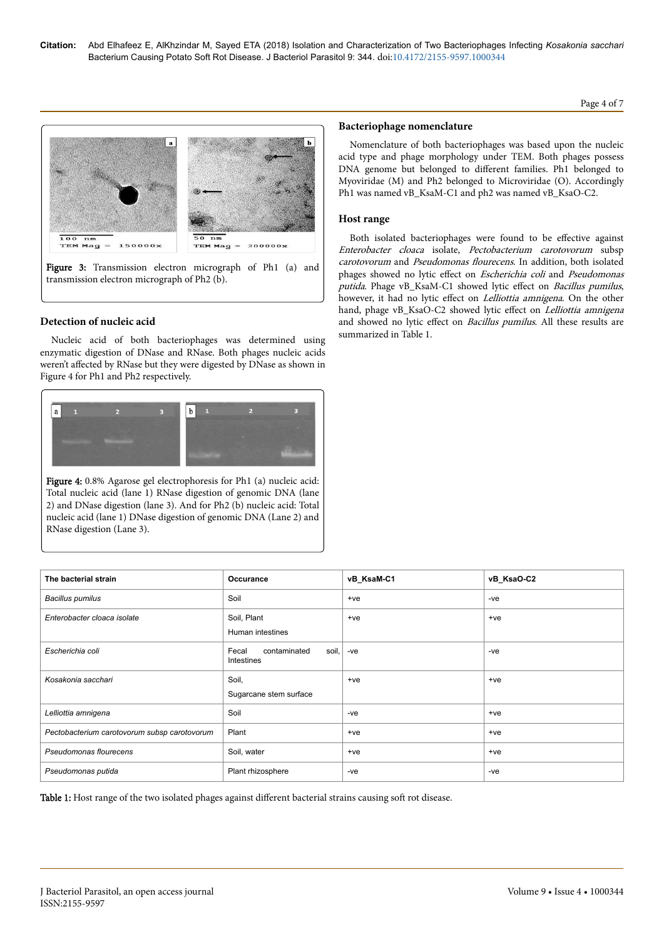# Page 4 of 7



Figure 3: Transmission electron micrograph of Ph1 (a) and transmission electron micrograph of Ph2 (b).

## **Detection of nucleic acid**

Nucleic acid of both bacteriophages was determined using enzymatic digestion of DNase and RNase. Both phages nucleic acids weren't affected by RNase but they were digested by DNase as shown in Figure 4 for Ph1 and Ph2 respectively.



Figure 4: 0.8% Agarose gel electrophoresis for Ph1 (a) nucleic acid: Total nucleic acid (lane 1) RNase digestion of genomic DNA (lane 2) and DNase digestion (lane 3). And for Ph2 (b) nucleic acid: Total nucleic acid (lane 1) DNase digestion of genomic DNA (Lane 2) and RNase digestion (Lane 3).

#### **Bacteriophage nomenclature**

Nomenclature of both bacteriophages was based upon the nucleic acid type and phage morphology under TEM. Both phages possess DNA genome but belonged to different families. Ph1 belonged to Myoviridae (M) and Ph2 belonged to Microviridae (O). Accordingly Ph1 was named vB\_KsaM-C1 and ph2 was named vB\_KsaO-C2.

#### **Host range**

Both isolated bacteriophages were found to be effective against Enterobacter cloaca isolate, Pectobacterium carotovorum subsp carotovorum and Pseudomonas flourecens. In addition, both isolated phages showed no lytic effect on Escherichia coli and Pseudomonas putida. Phage vB\_KsaM-C1 showed lytic effect on Bacillus pumilus, however, it had no lytic effect on *Lelliottia amnigena*. On the other hand, phage vB\_KsaO-C2 showed lytic effect on Lelliottia amnigena and showed no lytic effect on *Bacillus pumilus*. All these results are summarized in Table 1.

| The bacterial strain                         | Occurance                                    | vB_KsaM-C1 | vB_KsaO-C2 |
|----------------------------------------------|----------------------------------------------|------------|------------|
| <b>Bacillus pumilus</b>                      | Soil                                         | $+ve$      | -ve        |
| Enterobacter cloaca isolate                  | Soil, Plant<br>Human intestines              | $+ve$      | $+ve$      |
| Escherichia coli                             | Fecal<br>soil,<br>contaminated<br>Intestines | $-ve$      | $-ve$      |
| Kosakonia sacchari                           | Soil,<br>Sugarcane stem surface              | $+ve$      | $+ve$      |
| Lelliottia amnigena                          | Soil                                         | -ve        | $+ve$      |
| Pectobacterium carotovorum subsp carotovorum | Plant                                        | $+ve$      | $+ve$      |
| Pseudomonas flourecens                       | Soil, water                                  | $+ve$      | $+ve$      |
| Pseudomonas putida                           | Plant rhizosphere                            | -ve        | -ve        |

Table 1: Host range of the two isolated phages against different bacterial strains causing soft rot disease.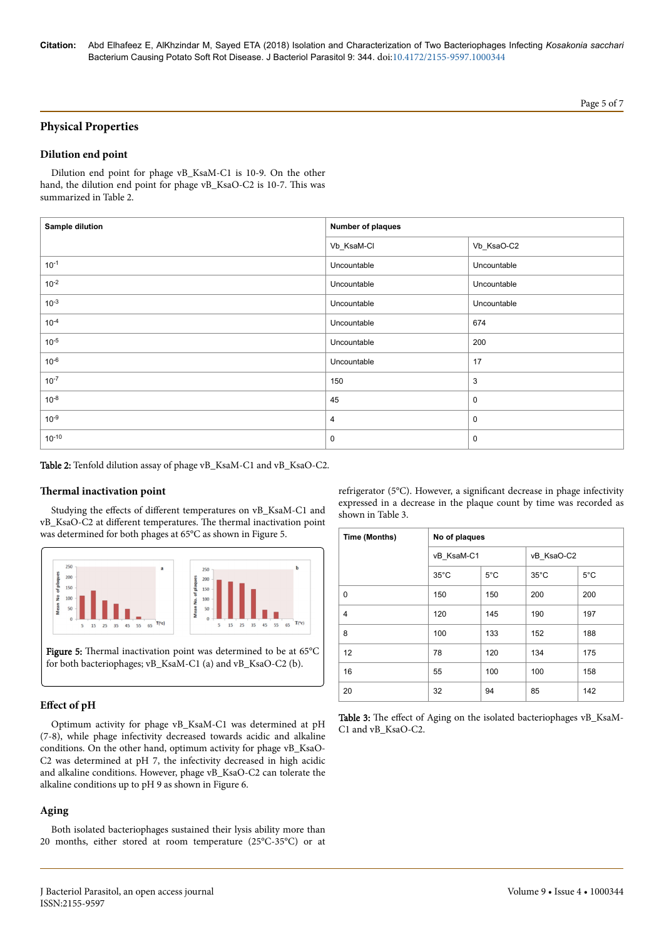# **Physical Properties**

## **Dilution end point**

Dilution end point for phage vB\_KsaM-C1 is 10-9. On the other hand, the dilution end point for phage vB\_KsaO-C2 is 10-7. This was summarized in Table 2.

| <b>Sample dilution</b> | Number of plaques |             |  |
|------------------------|-------------------|-------------|--|
|                        | Vb_KsaM-Cl        | Vb_KsaO-C2  |  |
| $10^{-1}$              | Uncountable       | Uncountable |  |
| $10^{-2}$              | Uncountable       | Uncountable |  |
| $10^{-3}$              | Uncountable       | Uncountable |  |
| $10^{-4}$              | Uncountable       | 674         |  |
| $10^{-5}$              | Uncountable       | 200         |  |
| $10^{-6}$              | Uncountable       | 17          |  |
| $10^{-7}$              | 150               | 3           |  |
| $10^{-8}$              | 45                | $\mathbf 0$ |  |
| $10^{-9}$              | 4                 | $\mathbf 0$ |  |
| $10^{-10}$             | $\mathbf 0$       | 0           |  |

Table 2: Tenfold dilution assay of phage vB\_KsaM-C1 and vB\_KsaO-C2.

#### **Thermal** inactivation point

Studying the effects of different temperatures on vB\_KsaM-C1 and vB\_KsaO-C2 at different temperatures. The thermal inactivation point was determined for both phages at 65°C as shown in Figure 5.



#### **Effect** of pH

Optimum activity for phage vB\_KsaM-C1 was determined at pH (7-8), while phage infectivity decreased towards acidic and alkaline conditions. On the other hand, optimum activity for phage vB\_KsaO-C2 was determined at pH 7, the infectivity decreased in high acidic and alkaline conditions. However, phage vB\_KsaO-C2 can tolerate the alkaline conditions up to pH 9 as shown in Figure 6.

## **Aging**

Both isolated bacteriophages sustained their lysis ability more than 20 months, either stored at room temperature (25°C-35°C) or at refrigerator (5°C). However, a significant decrease in phage infectivity expressed in a decrease in the plaque count by time was recorded as shown in Table 3.

| Time (Months)  | No of plaques  |               |                |               |
|----------------|----------------|---------------|----------------|---------------|
|                | vB KsaM-C1     |               | vB KsaO-C2     |               |
|                | $35^{\circ}$ C | $5^{\circ}$ C | $35^{\circ}$ C | $5^{\circ}$ C |
| $\mathbf 0$    | 150            | 150           | 200            | 200           |
| $\overline{4}$ | 120            | 145           | 190            | 197           |
| 8              | 100            | 133           | 152            | 188           |
| 12             | 78             | 120           | 134            | 175           |
| 16             | 55             | 100           | 100            | 158           |
| 20             | 32             | 94            | 85             | 142           |

| <b>Table 3:</b> The effect of Aging on the isolated bacteriophages vB_KsaM- |  |
|-----------------------------------------------------------------------------|--|
| C1 and vB KsaO-C2.                                                          |  |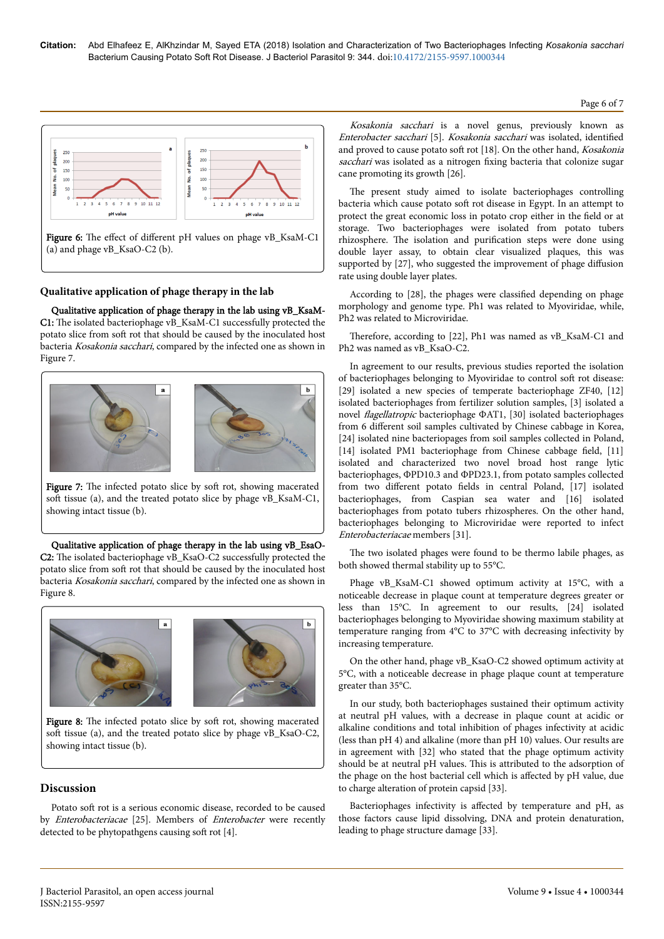

(a) and phage vB\_KsaO-C2 (b).

## **Qualitative application of phage therapy in the lab**

Qualitative application of phage therapy in the lab using vB\_KsaM-C1: The isolated bacteriophage vB\_KsaM-C1 successfully protected the potato slice from soft rot that should be caused by the inoculated host bacteria Kosakonia sacchari, compared by the infected one as shown in Figure 7.



Figure 7: The infected potato slice by soft rot, showing macerated soft tissue (a), and the treated potato slice by phage vB\_KsaM-C1, showing intact tissue (b).

Qualitative application of phage therapy in the lab using vB\_EsaO-C2: The isolated bacteriophage vB\_KsaO-C2 successfully protected the potato slice from soft rot that should be caused by the inoculated host bacteria Kosakonia sacchari, compared by the infected one as shown in Figure 8.



Figure 8: The infected potato slice by soft rot, showing macerated soft tissue (a), and the treated potato slice by phage vB\_KsaO-C2, showing intact tissue (b).

## **Discussion**

Potato soft rot is a serious economic disease, recorded to be caused by Enterobacteriacae [25]. Members of Enterobacter were recently detected to be phytopathgens causing soft rot [4].

Kosakonia sacchari is a novel genus, previously known as Enterobacter sacchari [5]. Kosakonia sacchari was isolated, identified and proved to cause potato soft rot [18]. On the other hand, Kosakonia sacchari was isolated as a nitrogen fixing bacteria that colonize sugar cane promoting its growth [26].

The present study aimed to isolate bacteriophages controlling bacteria which cause potato soft rot disease in Egypt. In an attempt to protect the great economic loss in potato crop either in the field or at storage. Two bacteriophages were isolated from potato tubers rhizosphere. The isolation and purification steps were done using double layer assay, to obtain clear visualized plaques, this was supported by [27], who suggested the improvement of phage diffusion rate using double layer plates.

According to [28], the phages were classified depending on phage morphology and genome type. Ph1 was related to Myoviridae, while, Ph2 was related to Microviridae.

Therefore, according to [22], Ph1 was named as vB\_KsaM-C1 and Ph2 was named as vB\_KsaO-C2.

In agreement to our results, previous studies reported the isolation of bacteriophages belonging to Myoviridae to control soft rot disease: [29] isolated a new species of temperate bacteriophage ZF40, [12] isolated bacteriophages from fertilizer solution samples, [3] isolated a novel *flagellatropic* bacteriophage ΦAT1, [30] isolated bacteriophages from 6 different soil samples cultivated by Chinese cabbage in Korea, [24] isolated nine bacteriopages from soil samples collected in Poland, [14] isolated PM1 bacteriophage from Chinese cabbage field, [11] isolated and characterized two novel broad host range lytic bacteriophages, ΦPD10.3 and ΦPD23.1, from potato samples collected from two different potato fields in central Poland, [17] isolated bacteriophages, from Caspian sea water and [16] isolated bacteriophages from potato tubers rhizospheres. On the other hand, bacteriophages belonging to Microviridae were reported to infect Enterobacteriacae members [31].

The two isolated phages were found to be thermo labile phages, as both showed thermal stability up to 55°C.

Phage vB\_KsaM-C1 showed optimum activity at 15°C, with a noticeable decrease in plaque count at temperature degrees greater or less than 15°C. In agreement to our results, [24] isolated bacteriophages belonging to Myoviridae showing maximum stability at temperature ranging from 4°C to 37°C with decreasing infectivity by increasing temperature.

On the other hand, phage vB\_KsaO-C2 showed optimum activity at 5°C, with a noticeable decrease in phage plaque count at temperature greater than 35°C.

In our study, both bacteriophages sustained their optimum activity at neutral pH values, with a decrease in plaque count at acidic or alkaline conditions and total inhibition of phages infectivity at acidic (less than pH 4) and alkaline (more than pH 10) values. Our results are in agreement with [32] who stated that the phage optimum activity should be at neutral pH values. This is attributed to the adsorption of the phage on the host bacterial cell which is affected by pH value, due to charge alteration of protein capsid [33].

Bacteriophages infectivity is affected by temperature and pH, as those factors cause lipid dissolving, DNA and protein denaturation, leading to phage structure damage [33].